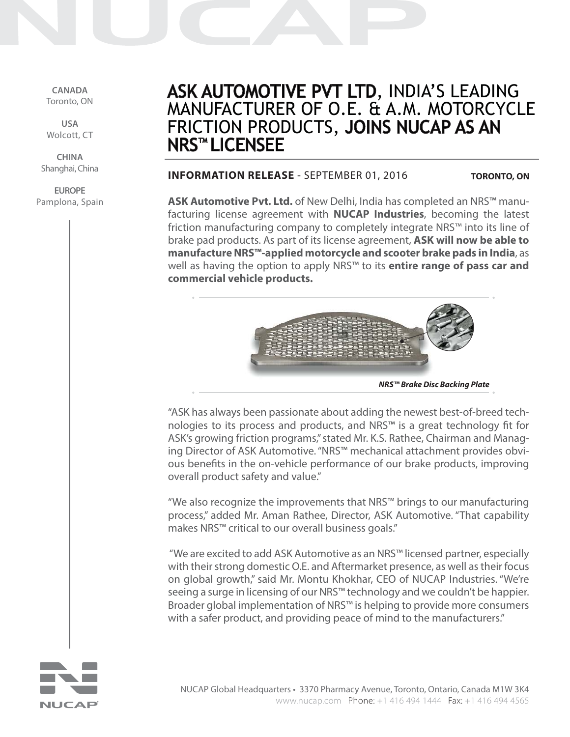**CANADA** Toronto, ON

**USA** Wolcott, CT

**CHINA** Shanghai, China

**EUROPE** Pamplona, Spain

# ASK AUTOMOTIVE PVT LTD, INDIA'S LEADING MANUFACTURER OF O.E. & A.M. MOTORCYCLE FRICTION PRODUCTS, JOINS NUCAP AS AN **NRS™ LICENSEE**

### **INFORMATION RELEASE** - SEPTEMBER 01, 2016

**TORONTO, ON**

**ASK Automotive Pvt. Ltd.** of New Delhi, India has completed an NRS™ manufacturing license agreement with **NUCAP Industries**, becoming the latest friction manufacturing company to completely integrate NRS™ into its line of brake pad products. As part of its license agreement, **ASK will now be able to manufacture NRS™-applied motorcycle and scooter brake pads in India**, as well as having the option to apply NRS™ to its **entire range of pass car and commercial vehicle products.**



**NRS™ Brake Disc Backing Plate**

"ASK has always been passionate about adding the newest best-of-breed technologies to its process and products, and NRS™ is a great technology fit for ASK's growing friction programs," stated Mr. K.S. Rathee, Chairman and Managing Director of ASK Automotive. "NRS™ mechanical attachment provides obvious benefits in the on-vehicle performance of our brake products, improving overall product safety and value."

"We also recognize the improvements that NRS™ brings to our manufacturing process," added Mr. Aman Rathee, Director, ASK Automotive. "That capability makes NRS™ critical to our overall business goals."

 "We are excited to add ASK Automotive as an NRS™ licensed partner, especially with their strong domestic O.E. and Aftermarket presence, as well as their focus on global growth," said Mr. Montu Khokhar, CEO of NUCAP Industries. "We're seeing a surge in licensing of our NRS™ technology and we couldn't be happier. Broader global implementation of NRS™ is helping to provide more consumers with a safer product, and providing peace of mind to the manufacturers."

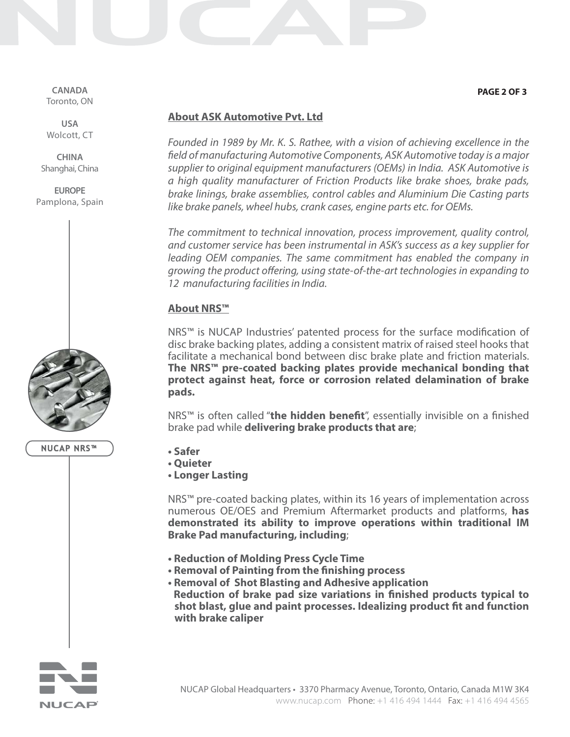**CANADA** Toronto, ON

**USA** Wolcott, CT

**CHINA** Shanghai, China

**EUROPE** Pamplona, Spain

**NUCAP NRS™**

- **Safer • Quieter**
- **Longer Lasting**

NRS™ pre-coated backing plates, within its 16 years of implementation across numerous OE/OES and Premium Aftermarket products and platforms, **has demonstrated its ability to improve operations within traditional IM Brake Pad manufacturing, including**;

- **Reduction of Molding Press Cycle Time**
- **Removal of Painting from the finishing process**
- **Removal of Shot Blasting and Adhesive application • Reduction of brake pad size variations in finished products typical to shot blast, glue and paint processes. Idealizing product fit and function with brake caliper**



#### **PAGE 2 OF 3**

## **About ASK Automotive Pvt. Ltd**

Founded in 1989 by Mr. K. S. Rathee, with a vision of achieving excellence in the field of manufacturing Automotive Components, ASK Automotive today is a major supplier to original equipment manufacturers (OEMs) in India. ASK Automotive is a high quality manufacturer of Friction Products like brake shoes, brake pads, brake linings, brake assemblies, control cables and Aluminium Die Casting parts like brake panels, wheel hubs, crank cases, engine parts etc. for OEMs.

The commitment to technical innovation, process improvement, quality control, and customer service has been instrumental in ASK's success as a key supplier for leading OEM companies. The same commitment has enabled the company in growing the product offering, using state-of-the-art technologies in expanding to 12 manufacturing facilities in India.

# **About NRS™**

NRS™ is NUCAP Industries' patented process for the surface modification of disc brake backing plates, adding a consistent matrix of raised steel hooks that facilitate a mechanical bond between disc brake plate and friction materials. **The NRS™ pre-coated backing plates provide mechanical bonding that protect against heat, force or corrosion related delamination of brake pads.**

NRS™ is often called "**the hidden benefit**", essentially invisible on a finished brake pad while **delivering brake products that are**;